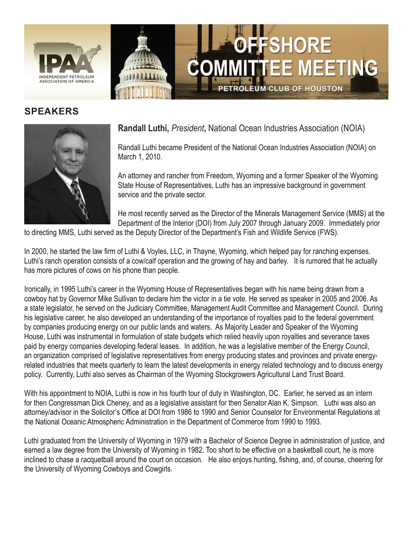

## **SPEAKERS**



## **Randall Luthi,** *President***,** National Ocean Industries Association (NOIA)

Randall Luthi became President of the National Ocean Industries Association (NOIA) on March 1, 2010.

OFFSHORE

PETROLEUM CLUB OF HOUSTON

**TTEE MEETING** 

An attorney and rancher from Freedom, Wyoming and a former Speaker of the Wyoming State House of Representatives, Luthi has an impressive background in government service and the private sector.

He most recently served as the Director of the Minerals Management Service (MMS) at the Department of the Interior (DOI) from July 2007 through January 2009. Immediately prior

to directing MMS, Luthi served as the Deputy Director of the Department's Fish and Wildlife Service (FWS).

In 2000, he started the law firm of Luthi & Voyles, LLC, in Thayne, Wyoming, which helped pay for ranching expenses. Luthi's ranch operation consists of a cow/calf operation and the growing of hay and barley. It is rumored that he actually has more pictures of cows on his phone than people.

Ironically, in 1995 Luthi's career in the Wyoming House of Representatives began with his name being drawn from a cowboy hat by Governor Mike Sullivan to declare him the victor in a tie vote. He served as speaker in 2005 and 2006. As a state legislator, he served on the Judiciary Committee, Management Audit Committee and Management Council. During his legislative career, he also developed an understanding of the importance of royalties paid to the federal government by companies producing energy on our public lands and waters. As Majority Leader and Speaker of the Wyoming House, Luthi was instrumental in formulation of state budgets which relied heavily upon royalties and severance taxes paid by energy companies developing federal leases. In addition, he was a legislative member of the Energy Council, an organization comprised of legislative representatives from energy producing states and provinces and private energyrelated industries that meets quarterly to learn the latest developments in energy related technology and to discuss energy policy. Currently, Luthi also serves as Chairman of the Wyoming Stockgrowers Agricultural Land Trust Board.

With his appointment to NOIA, Luthi is now in his fourth tour of duty in Washington, DC. Earlier, he served as an intern for then Congressman Dick Cheney, and as a legislative assistant for then Senator Alan K. Simpson. Luthi was also an attorney/advisor in the Solicitor's Office at DOI from 1986 to 1990 and Senior Counselor for Environmental Regulations at the National Oceanic Atmospheric Administration in the Department of Commerce from 1990 to 1993.

Luthi graduated from the University of Wyoming in 1979 with a Bachelor of Science Degree in administration of justice, and earned a law degree from the University of Wyoming in 1982. Too short to be effective on a basketball court, he is more inclined to chase a racquetball around the court on occasion. He also enjoys hunting, fishing, and, of course, cheering for the University of Wyoming Cowboys and Cowgirls.